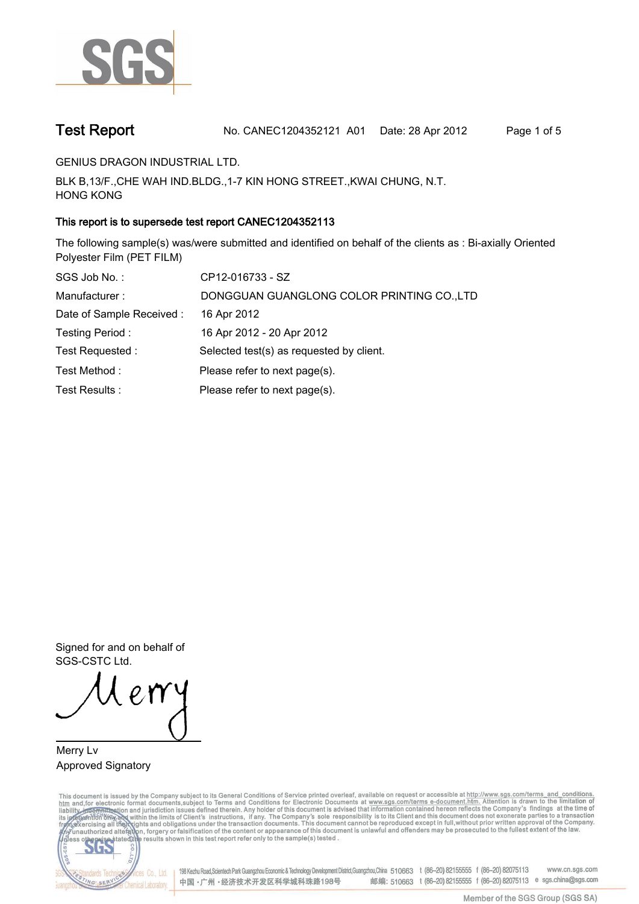

**Test Report. No. CANEC1204352121 A01 Date: 28 Apr 2012. Page 1 of 5.**

**GENIUS DRAGON INDUSTRIAL LTD..**

**BLK B,13/F.,CHE WAH IND.BLDG.,1-7 KIN HONG STREET.,KWAI CHUNG, N.T. HONG KONG.**

# **This report is to supersede test report CANEC1204352113.**

**The following sample(s) was/were submitted and identified on behalf of the clients as : Bi-axially Oriented Polyester Film (PET FILM).**

| SGS Job No.:              | CP12-016733 - SZ                           |
|---------------------------|--------------------------------------------|
| Manufacturer:             | DONGGUAN GUANGLONG COLOR PRINTING CO., LTD |
| Date of Sample Received : | 16 Apr 2012                                |
| Testing Period:           | 16 Apr 2012 - 20 Apr 2012                  |
| Test Requested:           | Selected test(s) as requested by client.   |
| Test Method:              | Please refer to next page(s).              |
| Test Results:             | Please refer to next page(s).              |

**Signed for and on behalf of SGS-CSTC Ltd..**

**Merry Lv. Approved Signatory.**

This document is issued by the Company subject to its General Conditions of Service printed overleaf, available on request or accessible at http://www.sgs.com/terms\_and\_conditions.<br>htm\_and, for electronic format documents,



198 Kezhu Road,Scientech Park Guangzhou Economic & Technology Development District,Guangzhou,China 510663 t (86-20) 82155555 f (86-20) 82075113 www.cn.sgs.com 邮编: 510663 t (86-20) 82155555 f (86-20) 82075113 e sgs.china@sgs.com 中国·广州·经济技术开发区科学城科珠路198号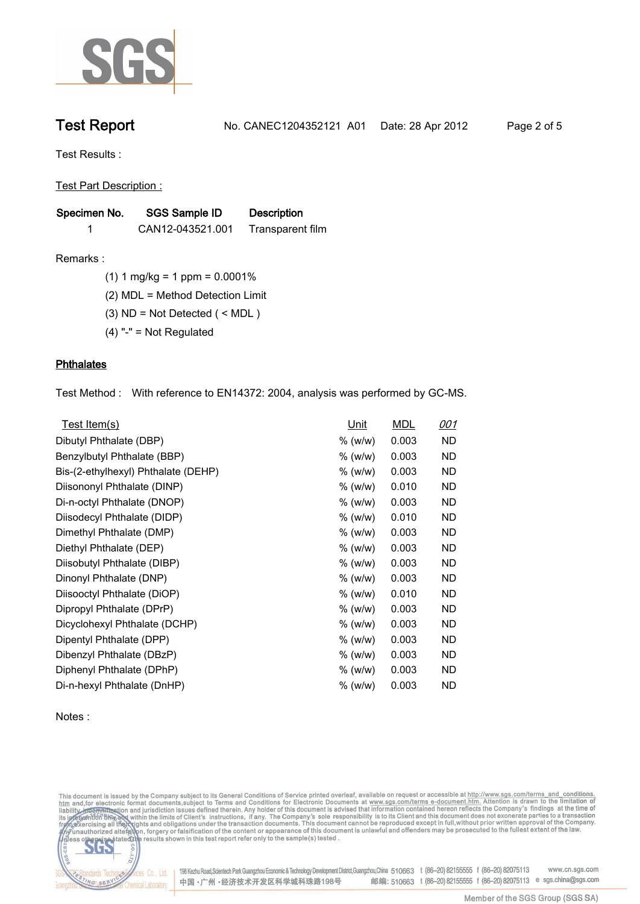

**Test Report. No. CANEC1204352121 A01 Date: 28 Apr 2012. Page 2 of 5.**

**Test Results :.**

**Test Part Description :.**

| Specimen No. | <b>SGS Sample ID</b> | <b>Description</b> |  |
|--------------|----------------------|--------------------|--|
|              | CAN12-043521.001     | Transparent film   |  |

**Remarks :.(1) 1 mg/kg = 1 ppm = 0.0001%.**

**(2) MDL = Method Detection Limit.**

**(3) ND = Not Detected ( < MDL ).**

**(4) "-" = Not Regulated.**

## **Phthalates.**

**Test Method :. With reference to EN14372: 2004, analysis was performed by GC-MS..**

| Test Item(s)                        | <u>Unit</u> | <b>MDL</b> | <u>001</u> |
|-------------------------------------|-------------|------------|------------|
| Dibutyl Phthalate (DBP)             | % (w/w)     | 0.003      | ND         |
| Benzylbutyl Phthalate (BBP)         | % (w/w)     | 0.003      | ND         |
| Bis-(2-ethylhexyl) Phthalate (DEHP) | % (w/w)     | 0.003      | ND         |
| Diisononyl Phthalate (DINP)         | % (w/w)     | 0.010      | ND         |
| Di-n-octyl Phthalate (DNOP)         | % (w/w)     | 0.003      | ND         |
| Diisodecyl Phthalate (DIDP)         | % (w/w)     | 0.010      | <b>ND</b>  |
| Dimethyl Phthalate (DMP)            | $%$ (w/w)   | 0.003      | ND         |
| Diethyl Phthalate (DEP)             | % (w/w)     | 0.003      | ND.        |
| Diisobutyl Phthalate (DIBP)         | % (w/w)     | 0.003      | <b>ND</b>  |
| Dinonyl Phthalate (DNP)             | % (w/w)     | 0.003      | ND.        |
| Diisooctyl Phthalate (DiOP)         | % (w/w)     | 0.010      | ND.        |
| Dipropyl Phthalate (DPrP)           | % (w/w)     | 0.003      | ND         |
| Dicyclohexyl Phthalate (DCHP)       | % (w/w)     | 0.003      | ND         |
| Dipentyl Phthalate (DPP)            | % (w/w)     | 0.003      | ND.        |
| Dibenzyl Phthalate (DBzP)           | % (w/w)     | 0.003      | ND         |
| Diphenyl Phthalate (DPhP)           | % (w/w)     | 0.003      | ND         |
| Di-n-hexyl Phthalate (DnHP)         | $%$ (w/w)   | 0.003      | ND         |

### **Notes :.**

This document is issued by the Company subject to its General Conditions of Service printed overleaf, available on request or accessible at http://www.sgs.com/terms\_and\_conditions.<br>htm\_and, for electronic format documents,



Cos Co., Ltd. 198 Kezhu Road,Scientech Park Guangzhou Economic & Technology Development District,Guangzhou,China 510663 t (86-20) 82155555 f (86-20) 82075113 www.cn.sgs.com 邮编: 510663 t (86-20) 82155555 f (86-20) 82075113 e sgs.china@sgs.com 中国·广州·经济技术开发区科学城科珠路198号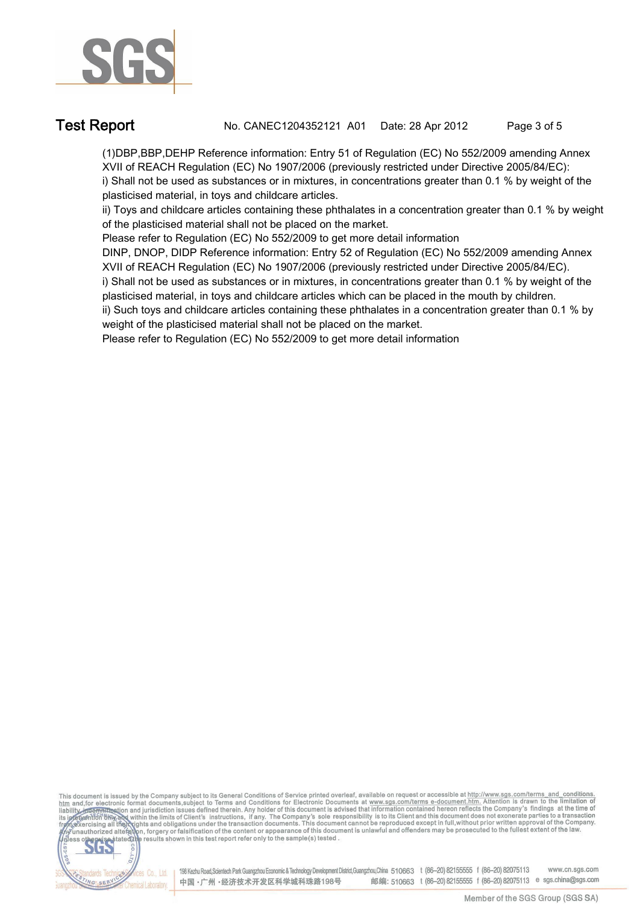

**Test Report. No. CANEC1204352121 A01 Date: 28 Apr 2012. Page 3 of 5.**

**(1)DBP,BBP,DEHP Reference information: Entry 51 of Regulation (EC) No 552/2009 amending Annex XVII of REACH Regulation (EC) No 1907/2006 (previously restricted under Directive 2005/84/EC): i) Shall not be used as substances or in mixtures, in concentrations greater than 0.1 % by weight of the plasticised material, in toys and childcare articles.** 

**ii) Toys and childcare articles containing these phthalates in a concentration greater than 0.1 % by weight of the plasticised material shall not be placed on the market.** 

**Please refer to Regulation (EC) No 552/2009 to get more detail information**

**DINP, DNOP, DIDP Reference information: Entry 52 of Regulation (EC) No 552/2009 amending Annex XVII of REACH Regulation (EC) No 1907/2006 (previously restricted under Directive 2005/84/EC).** 

**i) Shall not be used as substances or in mixtures, in concentrations greater than 0.1 % by weight of the plasticised material, in toys and childcare articles which can be placed in the mouth by children.** 

**ii) Such toys and childcare articles containing these phthalates in a concentration greater than 0.1 % by weight of the plasticised material shall not be placed on the market.** 

**Please refer to Regulation (EC) No 552/2009 to get more detail information.**

This document is issued by the Company subject to its General Conditions of Service printed overleaf, available on request or accessible at http://www.sgs.com/terms\_and\_conditions.<br>htm\_and,for electronic format documents,s co.



198 Kezhu Road, Scientech Park Guangzhou Economic & Technology Development District, Guangzhou, China 510663 t (86-20) 82155555 f (86-20) 82075113 www.cn.sgs.com 邮编: 510663 t (86-20) 82155555 f (86-20) 82075113 e sgs.china@sgs.com 中国·广州·经济技术开发区科学城科珠路198号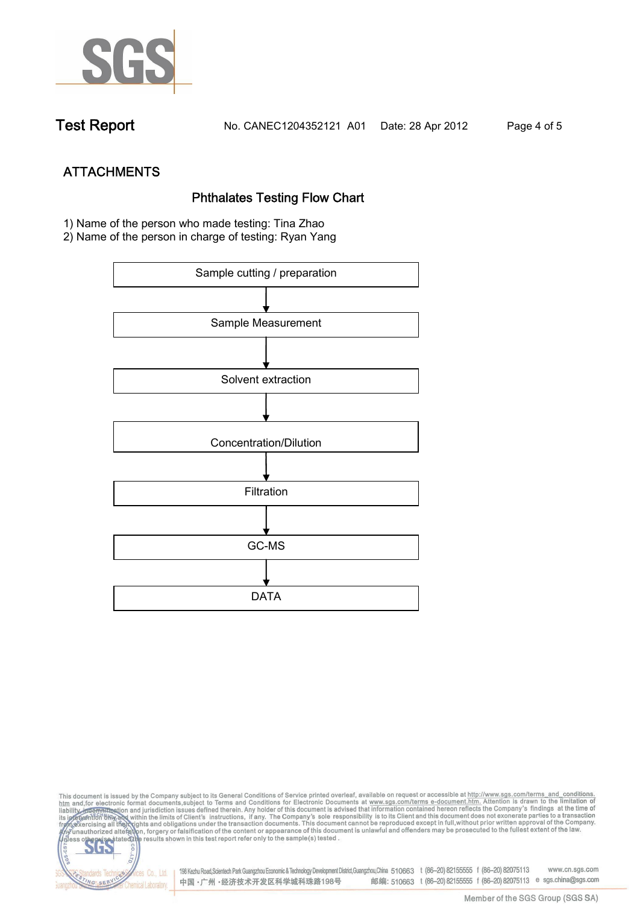

**Test Report. No. CANEC1204352121 A01 Date: 28 Apr 2012. Page 4 of 5.**

**ATTACHMENTS Phthalates Testing Flow Chart 1)** Name of the person who made testing: **Tina Zhao**

**2)** Name of the person in charge of testing: **Ryan Yang**



This document is issued by the Company subject to its General Conditions of Service printed overleaf, available on request or accessible at http://www.sgs.com/terms\_and\_conditions.<br>htm\_and,for electronic format documents,s co **202** 198 Kezhu Road,Scientech Park Guangzhou Economic & Technology Development District,Guangzhou,China 510663 t (86-20) 82155555 f (86-20) 82075113 www.cn.sgs.com dards Ter vices Co., Ltd. 邮编: 510663 t (86-20) 82155555 f (86-20) 82075113 e sgs.china@sgs.com 中国·广州·经济技术开发区科学城科珠路198号 NG SER **Chemical Laboratory**